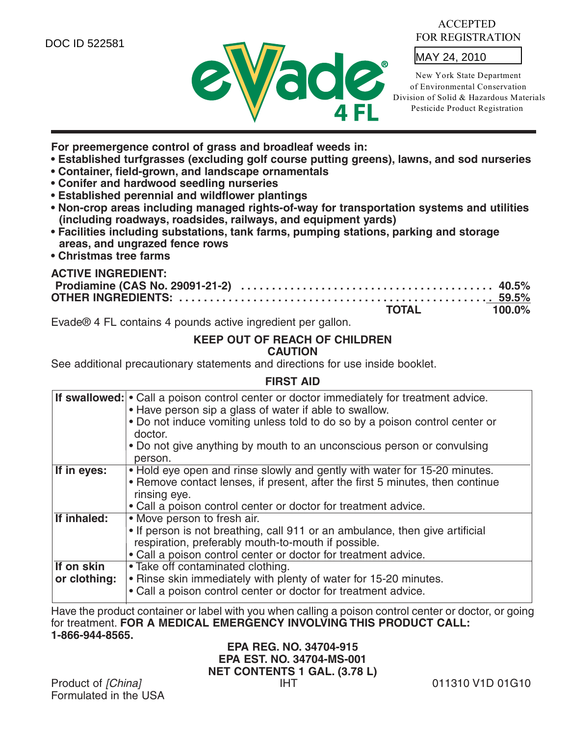DOC ID 522581



#### ACCEPTED FOR REGISTRATION

MAY 24, 2010

New York State Department of Environmental Conservation Division of Solid & Hazardous Materials Pesticide Product Registration

**For preemergence control of grass and broadleaf weeds in:** 

- **Established turfgrasses (excluding golf course putting greens), lawns, and sod nurseries**
- **Container, field-grown, and landscape ornamentals**
- **Conifer and hardwood seedling nurseries**
- **Established perennial and wildflower plantings**
- **Non-crop areas including managed rights-of-way for transportation systems and utilities (including roadways, roadsides, railways, and equipment yards)**
- **Facilities including substations, tank farms, pumping stations, parking and storage areas, and ungrazed fence rows**
- **Christmas tree farms**

## **ACTIVE INGREDIENT:**

| 그는 그 사람들은 그 그는 그 사람들을 하고 있다. 그는 그 사람들은 그 사람들은 그 사람들을 하고 있다. 그는 그 사람들은 그 사람들은 그 사람들을 지키고 있다. | <b>TOTAL</b> | 100.0% |
|---------------------------------------------------------------------------------------------|--------------|--------|

Evade® 4 FL contains 4 pounds active ingredient per gallon.

# **KEEP OUT OF REACH OF CHILDREN**

#### **CAUTION**

See additional precautionary statements and directions for use inside booklet.

#### **FIRST AID**

|              | <b>If swallowed:</b> • Call a poison control center or doctor immediately for treatment advice.<br>• Have person sip a glass of water if able to swallow.<br>. Do not induce vomiting unless told to do so by a poison control center or |
|--------------|------------------------------------------------------------------------------------------------------------------------------------------------------------------------------------------------------------------------------------------|
|              | doctor.                                                                                                                                                                                                                                  |
|              | • Do not give anything by mouth to an unconscious person or convulsing<br>person.                                                                                                                                                        |
| If in eyes:  | • Hold eye open and rinse slowly and gently with water for 15-20 minutes.                                                                                                                                                                |
|              | • Remove contact lenses, if present, after the first 5 minutes, then continue                                                                                                                                                            |
|              | rinsing eye.                                                                                                                                                                                                                             |
|              | • Call a poison control center or doctor for treatment advice.                                                                                                                                                                           |
| If inhaled:  | • Move person to fresh air.                                                                                                                                                                                                              |
|              | • If person is not breathing, call 911 or an ambulance, then give artificial                                                                                                                                                             |
|              | respiration, preferably mouth-to-mouth if possible.                                                                                                                                                                                      |
|              | • Call a poison control center or doctor for treatment advice.                                                                                                                                                                           |
| If on skin   | • Take off contaminated clothing.                                                                                                                                                                                                        |
| or clothing: | . Rinse skin immediately with plenty of water for 15-20 minutes.                                                                                                                                                                         |
|              | • Call a poison control center or doctor for treatment advice.                                                                                                                                                                           |

Have the product container or label with you when calling a poison control center or doctor, or going for treatment. **FOR A MEDICAL EMERGENCY INVOLVING THIS PRODUCT CALL: 1-866-944-8565.**

## **EPA REG. NO. 34704-915 EPA EST. NO. 34704-MS-001 NET CONTENTS 1 GAL. (3.78 L)**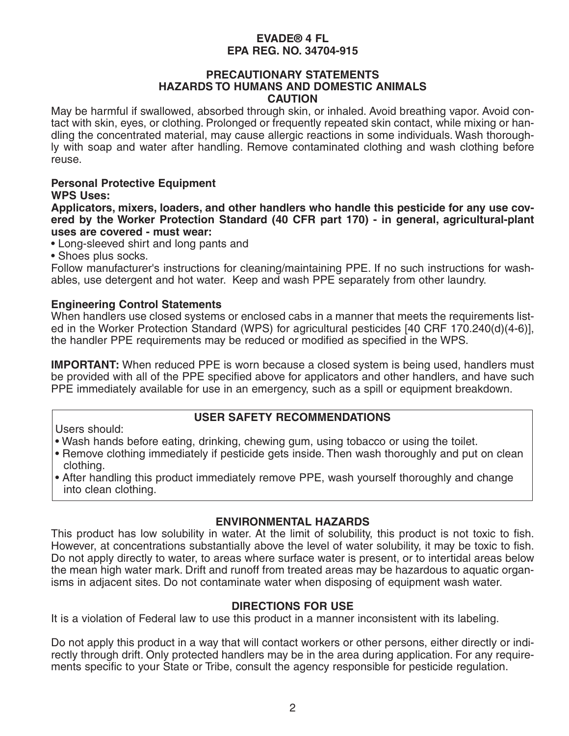#### **PRECAUTIONARY STATEMENTS HAZARDS TO HUMANS AND DOMESTIC ANIMALS CAUTION**

May be harmful if swallowed, absorbed through skin, or inhaled. Avoid breathing vapor. Avoid contact with skin, eyes, or clothing. Prolonged or frequently repeated skin contact, while mixing or handling the concentrated material, may cause allergic reactions in some individuals. Wash thoroughly with soap and water after handling. Remove contaminated clothing and wash clothing before reuse.

#### **Personal Protective Equipment WPS Uses:**

**Applicators, mixers, loaders, and other handlers who handle this pesticide for any use covered by the Worker Protection Standard (40 CFR part 170) - in general, agricultural-plant uses are covered - must wear:**

- Long-sleeved shirt and long pants and
- Shoes plus socks.

Follow manufacturer's instructions for cleaning/maintaining PPE. If no such instructions for washables, use detergent and hot water. Keep and wash PPE separately from other laundry.

#### **Engineering Control Statements**

When handlers use closed systems or enclosed cabs in a manner that meets the requirements listed in the Worker Protection Standard (WPS) for agricultural pesticides [40 CRF 170.240(d)(4-6)], the handler PPE requirements may be reduced or modified as specified in the WPS.

**IMPORTANT:** When reduced PPE is worn because a closed system is being used, handlers must be provided with all of the PPE specified above for applicators and other handlers, and have such PPE immediately available for use in an emergency, such as a spill or equipment breakdown.

#### **USER SAFETY RECOMMENDATIONS**

Users should:

- Wash hands before eating, drinking, chewing gum, using tobacco or using the toilet.
- Remove clothing immediately if pesticide gets inside. Then wash thoroughly and put on clean clothing.
- After handling this product immediately remove PPE, wash yourself thoroughly and change into clean clothing.

#### **ENVIRONMENTAL HAZARDS**

This product has low solubility in water. At the limit of solubility, this product is not toxic to fish. However, at concentrations substantially above the level of water solubility, it may be toxic to fish. Do not apply directly to water, to areas where surface water is present, or to intertidal areas below the mean high water mark. Drift and runoff from treated areas may be hazardous to aquatic organisms in adjacent sites. Do not contaminate water when disposing of equipment wash water.

#### **DIRECTIONS FOR USE**

It is a violation of Federal law to use this product in a manner inconsistent with its labeling.

Do not apply this product in a way that will contact workers or other persons, either directly or indirectly through drift. Only protected handlers may be in the area during application. For any requirements specific to your State or Tribe, consult the agency responsible for pesticide regulation.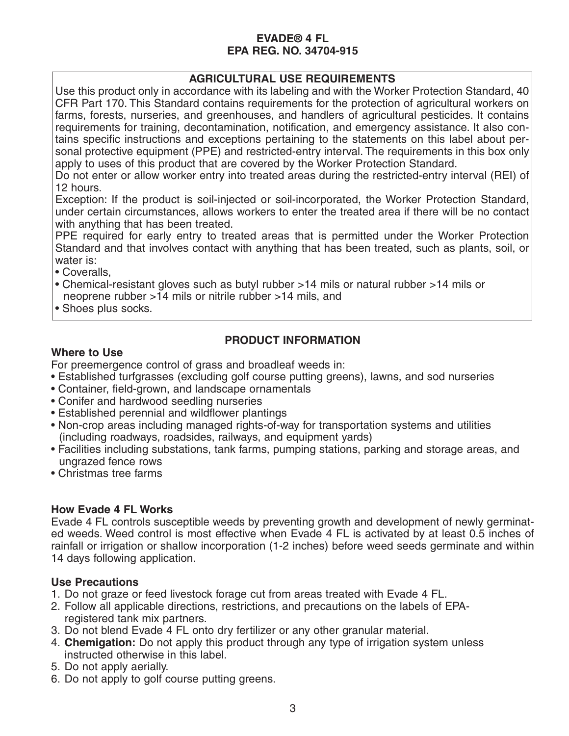## **AGRICULTURAL USE REQUIREMENTS**

Use this product only in accordance with its labeling and with the Worker Protection Standard, 40 CFR Part 170. This Standard contains requirements for the protection of agricultural workers on farms, forests, nurseries, and greenhouses, and handlers of agricultural pesticides. It contains requirements for training, decontamination, notification, and emergency assistance. It also contains specific instructions and exceptions pertaining to the statements on this label about personal protective equipment (PPE) and restricted-entry interval. The requirements in this box only apply to uses of this product that are covered by the Worker Protection Standard.

Do not enter or allow worker entry into treated areas during the restricted-entry interval (REI) of 12 hours.

Exception: If the product is soil-injected or soil-incorporated, the Worker Protection Standard, under certain circumstances, allows workers to enter the treated area if there will be no contact with anything that has been treated.

PPE required for early entry to treated areas that is permitted under the Worker Protection Standard and that involves contact with anything that has been treated, such as plants, soil, or water is:

- Coveralls,
- Chemical-resistant gloves such as butyl rubber >14 mils or natural rubber >14 mils or neoprene rubber >14 mils or nitrile rubber >14 mils, and
- Shoes plus socks.

## **PRODUCT INFORMATION**

## **Where to Use**

For preemergence control of grass and broadleaf weeds in:

- Established turfgrasses (excluding golf course putting greens), lawns, and sod nurseries
- Container, field-grown, and landscape ornamentals
- Conifer and hardwood seedling nurseries
- Established perennial and wildflower plantings
- Non-crop areas including managed rights-of-way for transportation systems and utilities (including roadways, roadsides, railways, and equipment yards)
- Facilities including substations, tank farms, pumping stations, parking and storage areas, and ungrazed fence rows
- Christmas tree farms

#### **How Evade 4 FL Works**

Evade 4 FL controls susceptible weeds by preventing growth and development of newly germinated weeds. Weed control is most effective when Evade 4 FL is activated by at least 0.5 inches of rainfall or irrigation or shallow incorporation (1-2 inches) before weed seeds germinate and within 14 days following application.

#### **Use Precautions**

- 1. Do not graze or feed livestock forage cut from areas treated with Evade 4 FL.
- 2. Follow all applicable directions, restrictions, and precautions on the labels of EPAregistered tank mix partners.
- 3. Do not blend Evade 4 FL onto dry fertilizer or any other granular material.
- 4. **Chemigation:** Do not apply this product through any type of irrigation system unless instructed otherwise in this label.
- 5. Do not apply aerially.
- 6. Do not apply to golf course putting greens.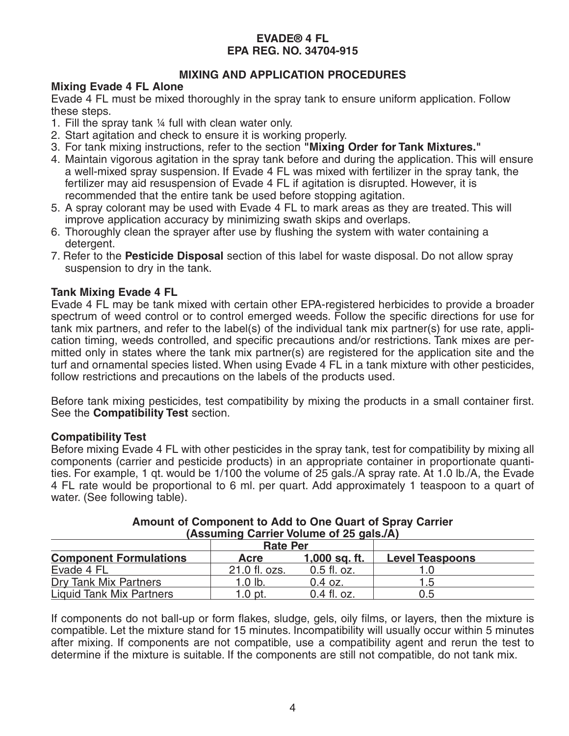## **MIXING AND APPLICATION PROCEDURES**

## **Mixing Evade 4 FL Alone**

Evade 4 FL must be mixed thoroughly in the spray tank to ensure uniform application. Follow these steps.

- 1. Fill the spray tank ¼ full with clean water only.
- 2. Start agitation and check to ensure it is working properly.
- 3. For tank mixing instructions, refer to the section **"Mixing Order for Tank Mixtures."**
- 4. Maintain vigorous agitation in the spray tank before and during the application. This will ensure a well-mixed spray suspension. If Evade 4 FL was mixed with fertilizer in the spray tank, the fertilizer may aid resuspension of Evade 4 FL if agitation is disrupted. However, it is recommended that the entire tank be used before stopping agitation.
- 5. A spray colorant may be used with Evade 4 FL to mark areas as they are treated. This will improve application accuracy by minimizing swath skips and overlaps.
- 6. Thoroughly clean the sprayer after use by flushing the system with water containing a detergent.
- 7. Refer to the **Pesticide Disposal** section of this label for waste disposal. Do not allow spray suspension to dry in the tank.

## **Tank Mixing Evade 4 FL**

Evade 4 FL may be tank mixed with certain other EPA-registered herbicides to provide a broader spectrum of weed control or to control emerged weeds. Follow the specific directions for use for tank mix partners, and refer to the label(s) of the individual tank mix partner(s) for use rate, application timing, weeds controlled, and specific precautions and/or restrictions. Tank mixes are permitted only in states where the tank mix partner(s) are registered for the application site and the turf and ornamental species listed. When using Evade 4 FL in a tank mixture with other pesticides, follow restrictions and precautions on the labels of the products used.

Before tank mixing pesticides, test compatibility by mixing the products in a small container first. See the **Compatibility Test** section.

## **Compatibility Test**

Before mixing Evade 4 FL with other pesticides in the spray tank, test for compatibility by mixing all components (carrier and pesticide products) in an appropriate container in proportionate quantities. For example, 1 qt. would be 1/100 the volume of 25 gals./A spray rate. At 1.0 lb./A, the Evade 4 FL rate would be proportional to 6 ml. per quart. Add approximately 1 teaspoon to a quart of water. (See following table).

| $1 - 1$                         |                 |               |                        |  |
|---------------------------------|-----------------|---------------|------------------------|--|
|                                 | <b>Rate Per</b> |               |                        |  |
| <b>Component Formulations</b>   | Acre            | 1,000 sq. ft. | <b>Level Teaspoons</b> |  |
| Evade 4 FL                      | 21.0 fl. ozs.   | $0.5$ fl. oz. |                        |  |
| Dry Tank Mix Partners           | $1.0$ lb.       | $0.4$ oz.     | 1.5                    |  |
| <b>Liquid Tank Mix Partners</b> | $1.0$ pt.       | $0.4$ fl. oz. | 0.5                    |  |

#### **Amount of Component to Add to One Quart of Spray Carrier (Assuming Carrier Volume of 25 gals./A)**

If components do not ball-up or form flakes, sludge, gels, oily films, or layers, then the mixture is compatible. Let the mixture stand for 15 minutes. Incompatibility will usually occur within 5 minutes after mixing. If components are not compatible, use a compatibility agent and rerun the test to determine if the mixture is suitable. If the components are still not compatible, do not tank mix.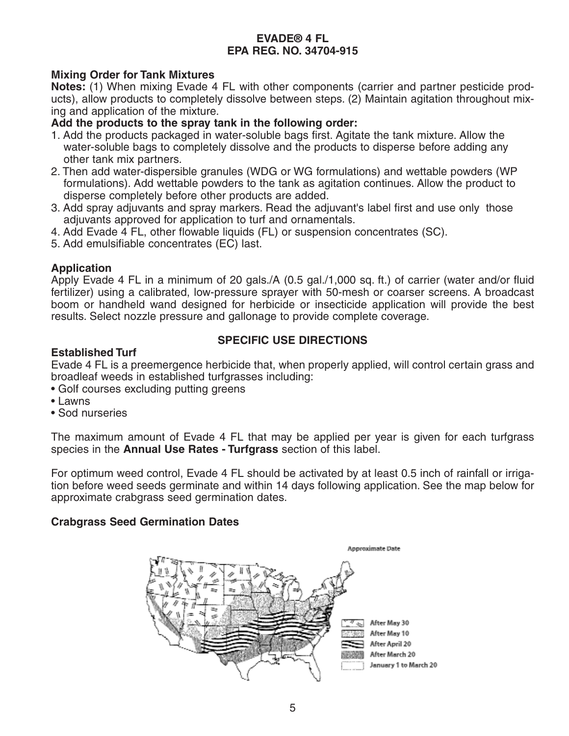## **Mixing Order for Tank Mixtures**

**Notes:** (1) When mixing Evade 4 FL with other components (carrier and partner pesticide products), allow products to completely dissolve between steps. (2) Maintain agitation throughout mixing and application of the mixture.

## **Add the products to the spray tank in the following order:**

- 1. Add the products packaged in water-soluble bags first. Agitate the tank mixture. Allow the water-soluble bags to completely dissolve and the products to disperse before adding any other tank mix partners.
- 2. Then add water-dispersible granules (WDG or WG formulations) and wettable powders (WP formulations). Add wettable powders to the tank as agitation continues. Allow the product to disperse completely before other products are added.
- 3. Add spray adjuvants and spray markers. Read the adjuvant's label first and use only those adjuvants approved for application to turf and ornamentals.
- 4. Add Evade 4 FL, other flowable liquids (FL) or suspension concentrates (SC).
- 5. Add emulsifiable concentrates (EC) last.

## **Application**

Apply Evade 4 FL in a minimum of 20 gals./A (0.5 gal./1,000 sq. ft.) of carrier (water and/or fluid fertilizer) using a calibrated, low-pressure sprayer with 50-mesh or coarser screens. A broadcast boom or handheld wand designed for herbicide or insecticide application will provide the best results. Select nozzle pressure and gallonage to provide complete coverage.

## **SPECIFIC USE DIRECTIONS**

#### **Established Turf**

Evade 4 FL is a preemergence herbicide that, when properly applied, will control certain grass and broadleaf weeds in established turfgrasses including:

- Golf courses excluding putting greens
- Lawns
- Sod nurseries

The maximum amount of Evade 4 FL that may be applied per year is given for each turfgrass species in the **Annual Use Rates - Turfgrass** section of this label.

For optimum weed control, Evade 4 FL should be activated by at least 0.5 inch of rainfall or irrigation before weed seeds germinate and within 14 days following application. See the map below for approximate crabgrass seed germination dates.

#### **Crabgrass Seed Germination Dates**

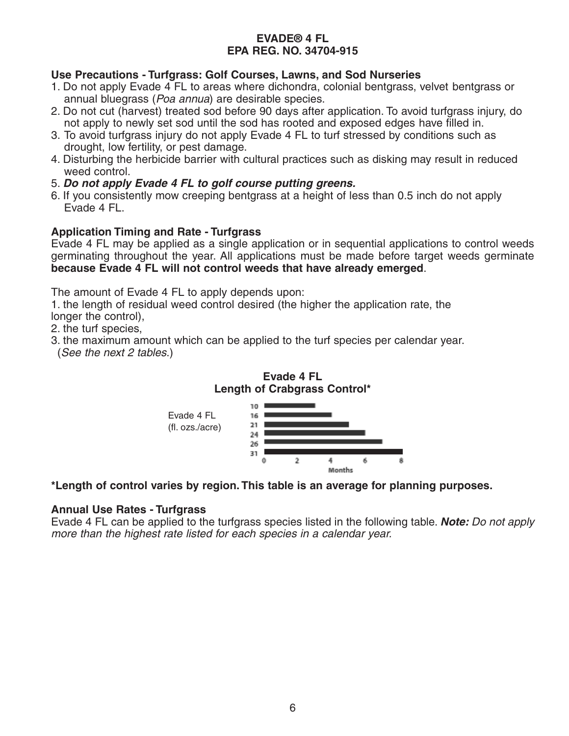## **Use Precautions - Turfgrass: Golf Courses, Lawns, and Sod Nurseries**

- 1. Do not apply Evade 4 FL to areas where dichondra, colonial bentgrass, velvet bentgrass or annual bluegrass (Poa annua) are desirable species.
- 2. Do not cut (harvest) treated sod before 90 days after application. To avoid turfgrass injury, do not apply to newly set sod until the sod has rooted and exposed edges have filled in.
- 3. To avoid turfgrass injury do not apply Evade 4 FL to turf stressed by conditions such as drought, low fertility, or pest damage.
- 4. Disturbing the herbicide barrier with cultural practices such as disking may result in reduced weed control.
- 5. **Do not apply Evade 4 FL to golf course putting greens.**
- 6. If you consistently mow creeping bentgrass at a height of less than 0.5 inch do not apply Evade 4 FL.

## **Application Timing and Rate - Turfgrass**

Evade 4 FL may be applied as a single application or in sequential applications to control weeds germinating throughout the year. All applications must be made before target weeds germinate **because Evade 4 FL will not control weeds that have already emerged**.

The amount of Evade 4 FL to apply depends upon:

1. the length of residual weed control desired (the higher the application rate, the longer the control),

- 2. the turf species,
- 3. the maximum amount which can be applied to the turf species per calendar year.
- (See the next 2 tables.)



**Evade 4 FL**

**\*Length of control varies by region. This table is an average for planning purposes.** 

#### **Annual Use Rates - Turfgrass**

Evade 4 FL can be applied to the turfgrass species listed in the following table. **Note:** Do not apply more than the highest rate listed for each species in a calendar year.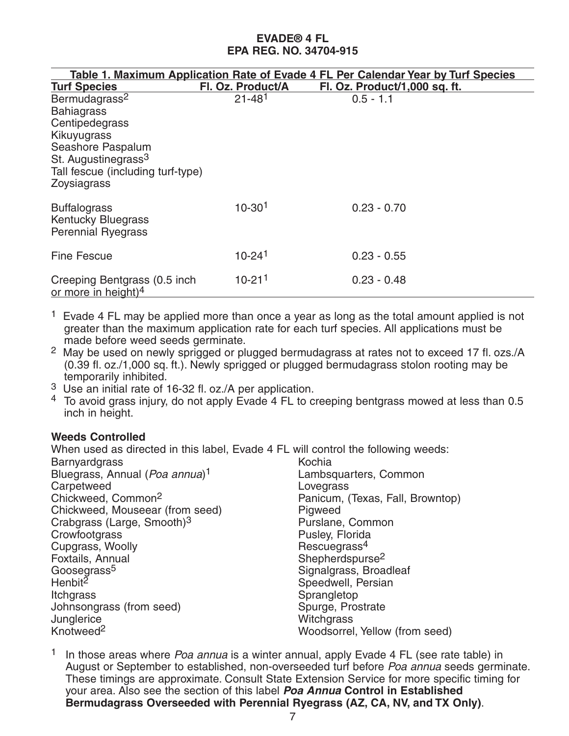|                                                                                                                                                                                             |                        | Table 1. Maximum Application Rate of Evade 4 FL Per Calendar Year by Turf Species |  |
|---------------------------------------------------------------------------------------------------------------------------------------------------------------------------------------------|------------------------|-----------------------------------------------------------------------------------|--|
| <b>Turf Species</b>                                                                                                                                                                         | Fl. Oz. Product/A      | Fl. Oz. Product/1,000 sq. ft.                                                     |  |
| Bermudagrass <sup>2</sup><br><b>Bahiagrass</b><br>Centipedegrass<br>Kikuyugrass<br>Seashore Paspalum<br>St. Augustinegrass <sup>3</sup><br>Tall fescue (including turf-type)<br>Zoysiagrass | $21 - 481$             | $0.5 - 1.1$                                                                       |  |
| <b>Buffalograss</b><br><b>Kentucky Bluegrass</b><br><b>Perennial Ryegrass</b>                                                                                                               | $10 - 301$             | $0.23 - 0.70$                                                                     |  |
| <b>Fine Fescue</b>                                                                                                                                                                          | $10 - 24$ <sup>1</sup> | $0.23 - 0.55$                                                                     |  |
| Creeping Bentgrass (0.5 inch<br>or more in height) $4$                                                                                                                                      | $10 - 211$             | $0.23 - 0.48$                                                                     |  |

- <sup>1</sup> Evade 4 FL may be applied more than once a year as long as the total amount applied is not greater than the maximum application rate for each turf species. All applications must be made before weed seeds germinate.
- <sup>2</sup> May be used on newly sprigged or plugged bermudagrass at rates not to exceed 17 fl. ozs./A (0.39 fl. oz./1,000 sq. ft.). Newly sprigged or plugged bermudagrass stolon rooting may be temporarily inhibited.
- 3 Use an initial rate of 16-32 fl. oz./A per application.
- $4\,$  To avoid grass injury, do not apply Evade 4 FL to creeping bentgrass mowed at less than 0.5 inch in height.

## **Weeds Controlled**

When used as directed in this label, Evade 4 FL will control the following weeds: **Barnyardgrass** Bluegrass, Annual (Poa annua)<sup>1</sup> **Carpetweed** Chickweed, Common2 Chickweed, Mouseear (from seed) Crabgrass (Large, Smooth)3 **Crowfootgrass** Cupgrass, Woolly Foxtails, Annual Goosegrass<sup>5</sup> Henbit<sup>2</sup> **Itchgrass** Johnsongrass (from seed) **Junglerice** Knotweed2 Kochia Lambsquarters, Common Lovegrass Panicum, (Texas, Fall, Browntop) Pigweed Purslane, Common Pusley, Florida Rescuegrass4 Shepherdspurse<sup>2</sup> Signalgrass, Broadleaf Speedwell, Persian Sprangletop Spurge, Prostrate **Witchgrass** Woodsorrel, Yellow (from seed)

<sup>1</sup> In those areas where *Poa annua* is a winter annual, apply Evade 4 FL (see rate table) in August or September to established, non-overseeded turf before Poa annua seeds germinate. These timings are approximate. Consult State Extension Service for more specific timing for your area. Also see the section of this label **Poa Annua Control in Established Bermudagrass Overseeded with Perennial Ryegrass (AZ, CA, NV, and TX Only)**.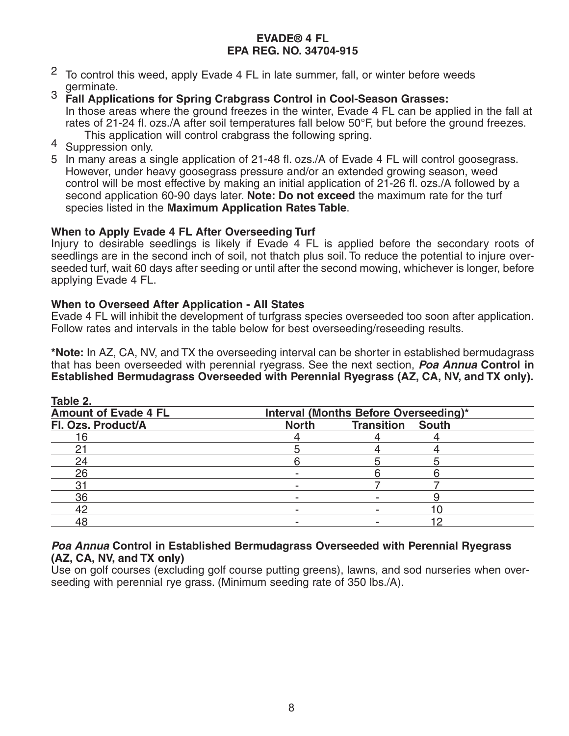- 2 To control this weed, apply Evade 4 FL in late summer, fall, or winter before weeds
- germinate. 3 **Fall Applications for Spring Crabgrass Control in Cool-Season Grasses:**  In those areas where the ground freezes in the winter, Evade 4 FL can be applied in the fall at rates of 21-24 fl. ozs./A after soil temperatures fall below 50°F, but before the ground freezes. This application will control crabgrass the following spring.<br>4 Suppression only.
- 
- 5 In many areas a single application of 21-48 fl. ozs./A of Evade 4 FL will control goosegrass. However, under heavy goosegrass pressure and/or an extended growing season, weed control will be most effective by making an initial application of 21-26 fl. ozs./A followed by a second application 60-90 days later. **Note: Do not exceed** the maximum rate for the turf species listed in the **Maximum Application Rates Table**.

## **When to Apply Evade 4 FL After Overseeding Turf**

Injury to desirable seedlings is likely if Evade 4 FL is applied before the secondary roots of seedlings are in the second inch of soil, not thatch plus soil. To reduce the potential to injure overseeded turf, wait 60 days after seeding or until after the second mowing, whichever is longer, before applying Evade 4 FL.

#### **When to Overseed After Application - All States**

Evade 4 FL will inhibit the development of turfgrass species overseeded too soon after application. Follow rates and intervals in the table below for best overseeding/reseeding results.

**\*Note:** In AZ, CA, NV, and TX the overseeding interval can be shorter in established bermudagrass that has been overseeded with perennial ryegrass. See the next section, **Poa Annua Control in Established Bermudagrass Overseeded with Perennial Ryegrass (AZ, CA, NV, and TX only).**

| Table 2.                    |              |                                       |  |
|-----------------------------|--------------|---------------------------------------|--|
| <b>Amount of Evade 4 FL</b> |              | Interval (Months Before Overseeding)* |  |
| Fl. Ozs. Product/A          | <b>North</b> | <b>Transition South</b>               |  |
| 16                          |              |                                       |  |
|                             |              |                                       |  |
| 24                          |              |                                       |  |
| 26                          |              |                                       |  |
|                             |              |                                       |  |
| 36                          |              |                                       |  |
| 42                          |              |                                       |  |
|                             |              |                                       |  |

## **Poa Annua Control in Established Bermudagrass Overseeded with Perennial Ryegrass (AZ, CA, NV, and TX only)**

Use on golf courses (excluding golf course putting greens), lawns, and sod nurseries when overseeding with perennial rye grass. (Minimum seeding rate of 350 lbs./A).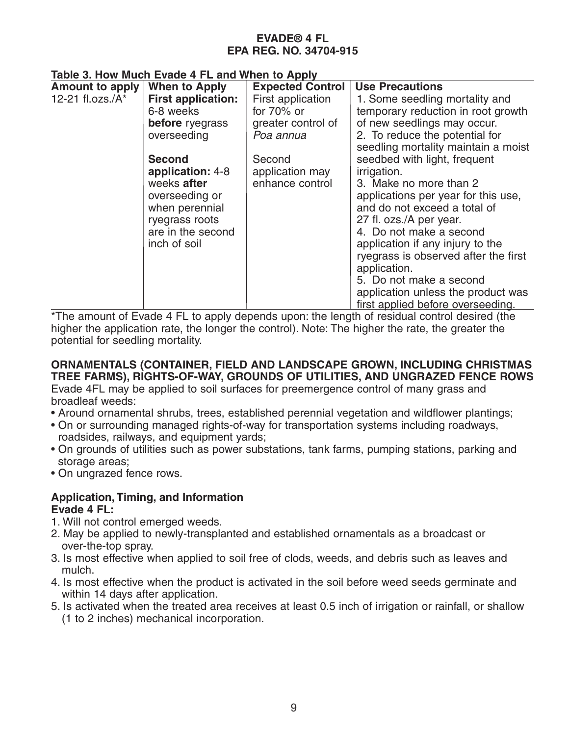**Table 3. How Much Evade 4 FL and When to Apply**

| <b>Amount to apply</b> | <b>When to Apply</b>      | <b>Expected Control</b> | <b>Use Precautions</b>               |
|------------------------|---------------------------|-------------------------|--------------------------------------|
| 12-21 fl.ozs./A*       | <b>First application:</b> | First application       | 1. Some seedling mortality and       |
|                        | 6-8 weeks                 | for $70\%$ or           | temporary reduction in root growth   |
|                        | <b>before</b> ryegrass    | greater control of      | of new seedlings may occur.          |
|                        | overseeding               | Poa annua               | 2. To reduce the potential for       |
|                        |                           |                         | seedling mortality maintain a moist  |
|                        | <b>Second</b>             | Second                  | seedbed with light, frequent         |
|                        | application: 4-8          | application may         | irrigation.                          |
|                        | weeks after               | enhance control         | 3. Make no more than 2               |
|                        | overseeding or            |                         | applications per year for this use,  |
|                        | when perennial            |                         | and do not exceed a total of         |
|                        | ryegrass roots            |                         | 27 fl. ozs./A per year.              |
|                        | are in the second         |                         | 4. Do not make a second              |
|                        | inch of soil              |                         | application if any injury to the     |
|                        |                           |                         | ryegrass is observed after the first |
|                        |                           |                         | application.                         |
|                        |                           |                         | 5. Do not make a second              |
|                        |                           |                         | application unless the product was   |
|                        |                           |                         | first applied before overseeding.    |

\*The amount of Evade 4 FL to apply depends upon: the length of residual control desired (the higher the application rate, the longer the control). Note: The higher the rate, the greater the potential for seedling mortality.

## **ORNAMENTALS (CONTAINER, FIELD AND LANDSCAPE GROWN, INCLUDING CHRISTMAS TREE FARMS), RIGHTS-OF-WAY, GROUNDS OF UTILITIES, AND UNGRAZED FENCE ROWS**

Evade 4FL may be applied to soil surfaces for preemergence control of many grass and broadleaf weeds:

- Around ornamental shrubs, trees, established perennial vegetation and wildflower plantings;
- On or surrounding managed rights-of-way for transportation systems including roadways, roadsides, railways, and equipment yards;
- On grounds of utilities such as power substations, tank farms, pumping stations, parking and storage areas:
- On ungrazed fence rows.

#### **Application, Timing, and Information Evade 4 FL:**

- 1. Will not control emerged weeds.
- 2. May be applied to newly-transplanted and established ornamentals as a broadcast or over-the-top spray.
- 3. Is most effective when applied to soil free of clods, weeds, and debris such as leaves and mulch.
- 4. Is most effective when the product is activated in the soil before weed seeds germinate and within 14 days after application.
- 5. Is activated when the treated area receives at least 0.5 inch of irrigation or rainfall, or shallow (1 to 2 inches) mechanical incorporation.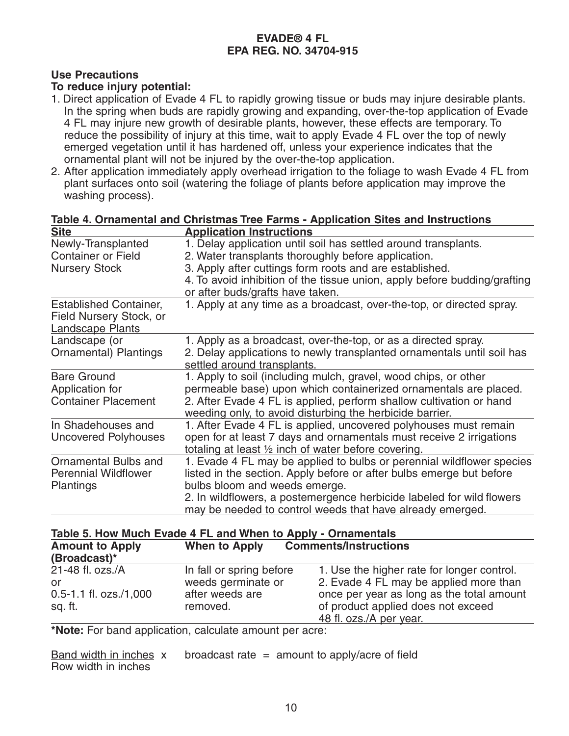## **Use Precautions**

#### **To reduce injury potential:**

- 1. Direct application of Evade 4 FL to rapidly growing tissue or buds may injure desirable plants. In the spring when buds are rapidly growing and expanding, over-the-top application of Evade 4 FL may injure new growth of desirable plants, however, these effects are temporary. To reduce the possibility of injury at this time, wait to apply Evade 4 FL over the top of newly emerged vegetation until it has hardened off, unless your experience indicates that the ornamental plant will not be injured by the over-the-top application.
- 2. After application immediately apply overhead irrigation to the foliage to wash Evade 4 FL from plant surfaces onto soil (watering the foliage of plants before application may improve the washing process).

| Site                          | <b>Application Instructions</b>                                           |  |  |
|-------------------------------|---------------------------------------------------------------------------|--|--|
| Newly-Transplanted            | 1. Delay application until soil has settled around transplants.           |  |  |
| <b>Container or Field</b>     | 2. Water transplants thoroughly before application.                       |  |  |
| <b>Nursery Stock</b>          | 3. Apply after cuttings form roots and are established.                   |  |  |
|                               | 4. To avoid inhibition of the tissue union, apply before budding/grafting |  |  |
|                               | or after buds/grafts have taken.                                          |  |  |
| <b>Established Container,</b> | 1. Apply at any time as a broadcast, over-the-top, or directed spray.     |  |  |
| Field Nursery Stock, or       |                                                                           |  |  |
| <b>Landscape Plants</b>       |                                                                           |  |  |
| Landscape (or                 | 1. Apply as a broadcast, over-the-top, or as a directed spray.            |  |  |
| <b>Ornamental</b> ) Plantings | 2. Delay applications to newly transplanted ornamentals until soil has    |  |  |
|                               | settled around transplants.                                               |  |  |
| <b>Bare Ground</b>            | 1. Apply to soil (including mulch, gravel, wood chips, or other           |  |  |
| Application for               | permeable base) upon which containerized ornamentals are placed.          |  |  |
| <b>Container Placement</b>    | 2. After Evade 4 FL is applied, perform shallow cultivation or hand       |  |  |
|                               | weeding only, to avoid disturbing the herbicide barrier.                  |  |  |
| In Shadehouses and            | 1. After Evade 4 FL is applied, uncovered polyhouses must remain          |  |  |
| <b>Uncovered Polyhouses</b>   | open for at least 7 days and ornamentals must receive 2 irrigations       |  |  |
|                               | totaling at least 1/2 inch of water before covering.                      |  |  |
| Ornamental Bulbs and          | 1. Evade 4 FL may be applied to bulbs or perennial wildflower species     |  |  |
| <b>Perennial Wildflower</b>   | listed in the section. Apply before or after bulbs emerge but before      |  |  |
| <b>Plantings</b>              | bulbs bloom and weeds emerge.                                             |  |  |
|                               | 2. In wildflowers, a postemergence herbicide labeled for wild flowers     |  |  |
|                               | may be needed to control weeds that have already emerged.                 |  |  |

## **Table 4. Ornamental and Christmas Tree Farms - Application Sites and Instructions Site Application Instructions**

#### **Table 5. How Much Evade 4 FL and When to Apply - Ornamentals**

| <b>Amount to Apply</b><br>(Broadcast)*                          | When to Apply                                                                 | <b>Comments/Instructions</b>                                                                                                                                                                       |
|-----------------------------------------------------------------|-------------------------------------------------------------------------------|----------------------------------------------------------------------------------------------------------------------------------------------------------------------------------------------------|
| 21-48 fl. ozs./A<br>or<br>$0.5 - 1.1$ fl. ozs./1,000<br>sq. ft. | In fall or spring before<br>weeds germinate or<br>after weeds are<br>removed. | 1. Use the higher rate for longer control.<br>2. Evade 4 FL may be applied more than<br>once per year as long as the total amount<br>of product applied does not exceed<br>48 fl. ozs./A per year. |

**\*Note:** For band application, calculate amount per acre:

Band width in inches  $x$  broadcast rate = amount to apply/acre of field Row width in inches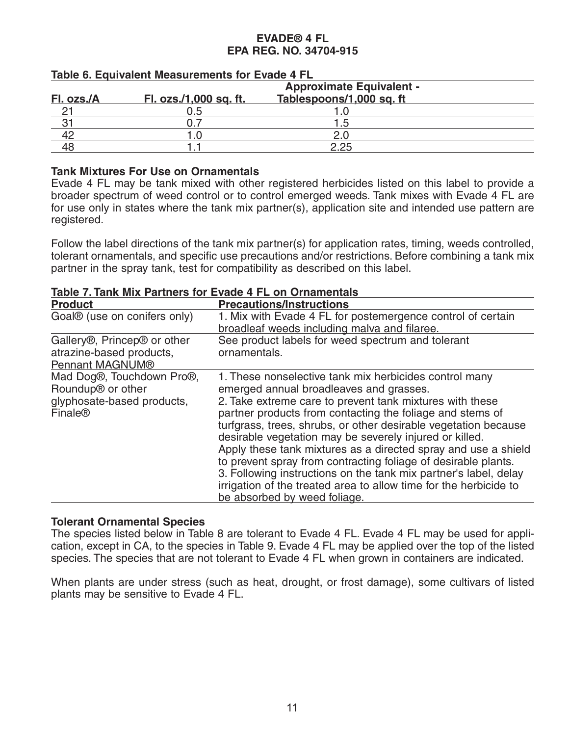|            | <b>Approximate Equivalent -</b> |                          |  |
|------------|---------------------------------|--------------------------|--|
| Fl. ozs./A | Fl. ozs./1,000 sq. ft.          | Tablespoons/1,000 sq. ft |  |
|            | ).ხ                             |                          |  |
| Ω.         |                                 | 1.5                      |  |
|            |                                 | ጋ በ                      |  |
|            |                                 | つ つら                     |  |

#### **Table 6. Equivalent Measurements for Evade 4 FL**

## **Tank Mixtures For Use on Ornamentals**

Evade 4 FL may be tank mixed with other registered herbicides listed on this label to provide a broader spectrum of weed control or to control emerged weeds. Tank mixes with Evade 4 FL are for use only in states where the tank mix partner(s), application site and intended use pattern are registered.

Follow the label directions of the tank mix partner(s) for application rates, timing, weeds controlled, tolerant ornamentals, and specific use precautions and/or restrictions. Before combining a tank mix partner in the spray tank, test for compatibility as described on this label.

|  | Table 7. Tank Mix Partners for Evade 4 FL on Ornamentals |
|--|----------------------------------------------------------|
|  |                                                          |

| <b>Product</b>                                                                                                  | <b>Precautions/Instructions</b>                                                                                                                                                                                                                                                                                                                                                                                                                                                                                                                                                                                                                                       |
|-----------------------------------------------------------------------------------------------------------------|-----------------------------------------------------------------------------------------------------------------------------------------------------------------------------------------------------------------------------------------------------------------------------------------------------------------------------------------------------------------------------------------------------------------------------------------------------------------------------------------------------------------------------------------------------------------------------------------------------------------------------------------------------------------------|
| Goal <sup>®</sup> (use on conifers only)                                                                        | 1. Mix with Evade 4 FL for postemergence control of certain<br>broadleaf weeds including malva and filaree.                                                                                                                                                                                                                                                                                                                                                                                                                                                                                                                                                           |
| Gallery <sup>®</sup> , Princep <sup>®</sup> or other<br>atrazine-based products,<br>Pennant MAGNUM®             | See product labels for weed spectrum and tolerant<br>ornamentals.                                                                                                                                                                                                                                                                                                                                                                                                                                                                                                                                                                                                     |
| Mad Dog®, Touchdown Pro®,<br>Roundup <sup>®</sup> or other<br>glyphosate-based products,<br>Finale <sup>®</sup> | 1. These nonselective tank mix herbicides control many<br>emerged annual broadleaves and grasses.<br>2. Take extreme care to prevent tank mixtures with these<br>partner products from contacting the foliage and stems of<br>turfgrass, trees, shrubs, or other desirable vegetation because<br>desirable vegetation may be severely injured or killed.<br>Apply these tank mixtures as a directed spray and use a shield<br>to prevent spray from contracting foliage of desirable plants.<br>3. Following instructions on the tank mix partner's label, delay<br>irrigation of the treated area to allow time for the herbicide to<br>be absorbed by weed foliage. |

#### **Tolerant Ornamental Species**

The species listed below in Table 8 are tolerant to Evade 4 FL. Evade 4 FL may be used for application, except in CA, to the species in Table 9. Evade 4 FL may be applied over the top of the listed species. The species that are not tolerant to Evade 4 FL when grown in containers are indicated.

When plants are under stress (such as heat, drought, or frost damage), some cultivars of listed plants may be sensitive to Evade 4 FL.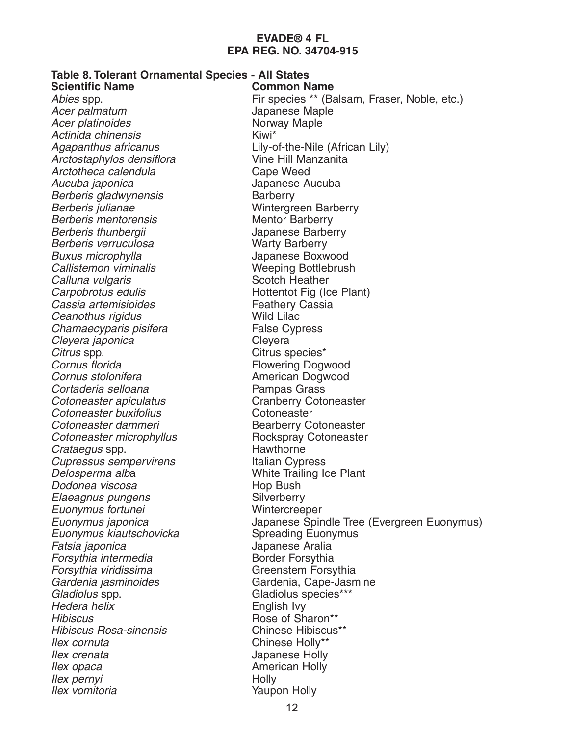| Table 8. Tolerant Ornamental Species - All States |                                              |
|---------------------------------------------------|----------------------------------------------|
| <b>Scientific Name</b>                            | <b>Common Name</b>                           |
| Abies spp.                                        | Fir species ** (Balsam, Fraser, Noble, etc.) |
| Acer palmatum                                     | Japanese Maple                               |
| Acer platinoides                                  | Norway Maple                                 |
| Actinida chinensis                                | Kiwi*                                        |
| Agapanthus africanus                              | Lily-of-the-Nile (African Lily)              |
| Arctostaphylos densiflora                         | Vine Hill Manzanita                          |
| Arctotheca calendula                              | Cape Weed                                    |
| Aucuba japonica                                   | Japanese Aucuba                              |
| Berberis gladwynensis                             | <b>Barberry</b>                              |
| Berberis julianae                                 | <b>Wintergreen Barberry</b>                  |
| <b>Berberis mentorensis</b>                       | <b>Mentor Barberry</b>                       |
| Berberis thunbergii                               | Japanese Barberry                            |
| Berberis verruculosa                              | <b>Warty Barberry</b>                        |
| Buxus microphylla                                 | Japanese Boxwood                             |
| Callistemon viminalis                             | <b>Weeping Bottlebrush</b>                   |
| Calluna vulgaris                                  | <b>Scotch Heather</b>                        |
| Carpobrotus edulis                                | Hottentot Fig (Ice Plant)                    |
| Cassia artemisioides                              | <b>Feathery Cassia</b>                       |
| Ceanothus rigidus                                 | <b>Wild Lilac</b>                            |
| Chamaecyparis pisifera                            | <b>False Cypress</b>                         |
| Cleyera japonica                                  | Cleyera                                      |
| Citrus spp.                                       | Citrus species*                              |
| Cornus florida                                    | <b>Flowering Dogwood</b>                     |
| Cornus stolonifera                                | American Dogwood                             |
| Cortaderia selloana                               | Pampas Grass                                 |
| Cotoneaster apiculatus                            | <b>Cranberry Cotoneaster</b>                 |
| Cotoneaster buxifolius                            | Cotoneaster                                  |
| Cotoneaster dammeri                               | <b>Bearberry Cotoneaster</b>                 |
| Cotoneaster microphyllus                          | Rockspray Cotoneaster                        |
| <i>Crataegus</i> spp.                             | Hawthorne                                    |
| <b>Cupressus sempervirens</b>                     | Italian Cypress                              |
| Delosperma alba                                   | <b>White Trailing Ice Plant</b>              |
| Dodonea viscosa                                   | Hop Bush                                     |
| Elaeagnus pungens                                 | Silverberry                                  |
| Euonymus fortunei                                 | Wintercreeper                                |
| Euonymus japonica                                 | Japanese Spindle Tree (Evergreen Euonymus)   |
| Euonymus kiautschovicka                           | <b>Spreading Euonymus</b>                    |
| Fatsia japonica                                   | Japanese Aralia                              |
| Forsythia intermedia                              | <b>Border Forsythia</b>                      |
| Forsythia viridissima                             | Greenstem Forsythia                          |
| Gardenia jasminoides                              | Gardenia, Cape-Jasmine                       |
| Gladiolus spp.                                    | Gladiolus species***                         |
| Hedera helix                                      | English Ivy                                  |
| <b>Hibiscus</b>                                   | Rose of Sharon**                             |
| <b>Hibiscus Rosa-sinensis</b>                     | <b>Chinese Hibiscus**</b>                    |
| llex cornuta                                      | Chinese Holly**                              |
| llex crenata                                      | Japanese Holly                               |
| llex opaca                                        | <b>American Holly</b>                        |
| llex pernyi                                       | Holly                                        |
| Ilex vomitoria                                    | <b>Yaupon Holly</b>                          |
|                                                   |                                              |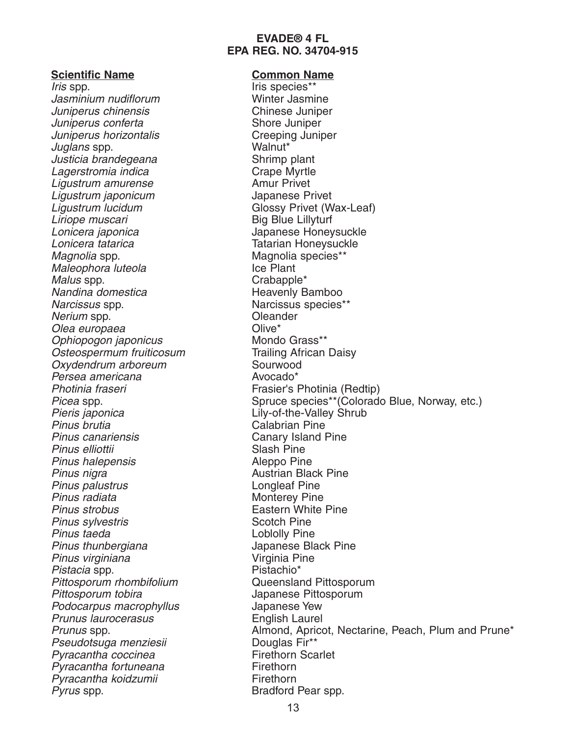#### **Scientific Name Common Name**

Iris spp. The line of the line of the line species\*\* Jasminium nudiflorum Winter Jasmine Juniperus chinensis Chinese Juniper Juniperus conferta Shore Juniper Juniperus horizontalis Creeping Juniper Juglans spp. Walnut\* Justicia brandegeana Shrimp plant Lagerstromia indica<br>
Liqustrum amurense in European Crape Myrtle<br>
Amur Privet Ligustrum amurense<br>
Ligustrum iaponicum<br>
Ligustrum iaponicum<br>
Amur Bapanese Privet Ligustrum japonicum Ligustrum lucidum<br>
Ligustrum lucidum<br>
Liriope muscari<br>
Compare Control Big Blue Lillyturf Lonicera japonica **Japanese Honeysuckle** Lonicera tatarica **Tatarian Honeysuckle** Magnolia spp. **Magnolia** species<sup>\*\*</sup> Maleophora luteola **Ice Plant** Malus spp.  $\blacksquare$ Nandina domestica eta erreferentzia herreferentzia herreferentzia herreferentzia herreferentzia herreferentzia Narcissus spp. Narcissus species\*\* Nerium spp.<br>Olea europaea de controller de Clive\* Olea europaea Ophiopogon japonicus Mondo Grass\*\* Osteospermum fruiticosum<br>
Trailing African Daisy Oxydendrum arboreum Sourwood Persea americana anti-americana anti-americana anti-americana anti-americana anti-americana anti-americana anti-Photinia fraseri **Frasier's Photinia (Redtip)** Pieris japonica **Lily-of-the-Valley Shrub** Pinus brutia Calabrian Pine Pinus canariensis Canary Island Pine Pinus elliottii Slash Pine Pinus halepensis and a control and the Aleppo Pine Pinus nigra<br>
Pinus palustrus<br>
Pinus palustrus<br>
Australian Black Pine Pinus palustrus Pinus radiata Monterey Pine Pinus strobus<br>
Pinus svlvestris<br>
Pinus svlvestris<br>
Cotch Pine Pinus sylvestris Pinus taeda **Loblolly** Pine Pinus thunbergiana<br>
Pinus virginiana<br>
Pinus virginiana<br>
Virginia Pine Pinus virginiana Pistacia spp.<br>
Pistachio\* Pittosporum rhombifolium Cueensland Pittosporum Pittosporum rhombifolium Pittosporum tobira Japanese Pittosporum Podocarpus macrophyllus and the Suppanese Yew<br>Prunus laurocerasus contractions of the Huglish Laurel Prunus laurocerasus Pseudotsuga menziesii alas Douglas Fir\*\*<br>Pyracantha coccinea album - Firethorn Scarlet Pyracantha coccinea Pyracantha fortuneana Firethorn Pyracantha koidzumii Firethorn Pyrus spp. Bradford Pear spp.

**Big Blue Lillyturf** Picea spp. Spruce species\*\*(Colorado Blue, Norway, etc.) Prunus spp. Almond, Apricot, Nectarine, Peach, Plum and Prune\*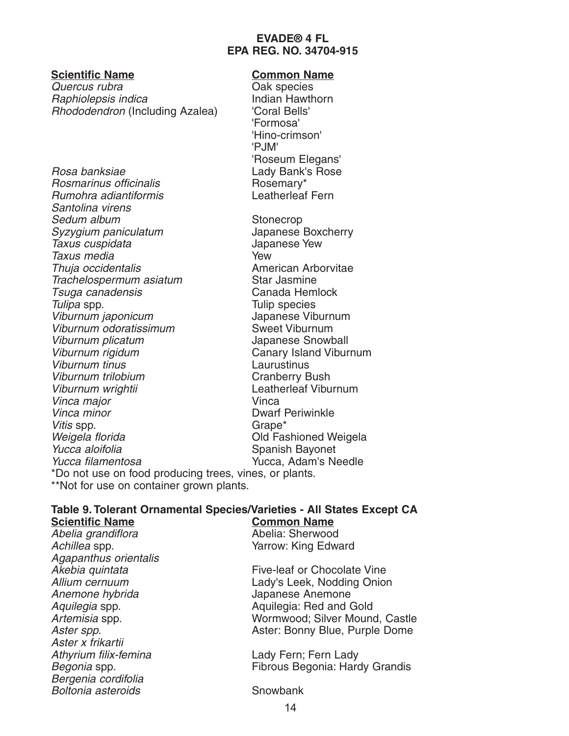**Scientific Name Common Name** Quercus rubra<br>
Baphiolensis indica<br>
Baphiolensis indica<br>
Oak species<br>
Indian Hawthorn Raphiolepsis indica Rhododendron (Including Azalea) 'Coral Bells'

Rosa banksiae Charles Cady Bank's Rose<br>Rosmarinus officinalis Charles Charles Rosemary\* Rosmarinus officinalis<br>
Rumohra adiantiformis<br>
Rumohra adiantiformis Rumohra adiantiformis Santolina virens Sedum album Stonecrop Syzygium paniculatum Japanese Boxcherry Taxus cuspidata Japanese Yew Taxus media Thuia occidentalis **American Arborvitae** Trachelospermum asiatum Star Jasmine Tsuga canadensis Canada Hemlock Tulipa spp. Tulip species Viburnum japonicum<br>Viburnum odoratissimum Muslim Sweet Viburnum Viburnum odoratissimum Viburnum plicatum<br>
Viburnum rigidum<br>
Viburnum rigidum<br>
Viburnum rigidum Viburnum tinus Laurustinus Viburnum trilobium Cranberry Bush Viburnum wrightii Leatherleaf Viburnum Vinca major vinca vinca Vinca minor **Dwarf Periwinkle** Vitis spp. Grape\* Weigela florida Old Fashioned Weigela Yucca aloifolia and Spanish Bayonet<br>Yucca filamentosa and Succa Adam's Ne \*Do not use on food producing trees, vines, or plants.

'Formosa' 'Hino-crimson' 'P.IM' 'Roseum Elegans'

**Canary Island Viburnum** Yucca, Adam's Needle

\*\*Not for use on container grown plants.

#### **Table 9. Tolerant Ornamental Species/Varieties - All States Except CA Scientific Name**

Abelia grandiflora **Abelia:** Sherwood Achillea spp. The Contract of Contract Contract Contract Contract Contract Contract Contract Contract Contract Contract Contract Contract Contract Contract Contract Contract Contract Contract Contract Contract Contract Con Agapanthus orientalis Anemone hybrida and a Japanese Anemone Aster x frikartii Athyrium filix-femina Lady Fern; Fern Lady Bergenia cordifolia Boltonia asteroids Snowbank

Akebia quintata Five-leaf or Chocolate Vine<br>Allium cernuum Carlos Chotos Lady's Leek, Nodding Onior Lady's Leek, Nodding Onion Aquilegia spp. **Aquilegia:** Red and Gold Artemisia spp. The Community Community Community Wormwood; Silver Mound, Castle Aster spp. **Aster: Bonny Blue, Purple Dome** 

Begonia spp. Fibrous Begonia: Hardy Grandis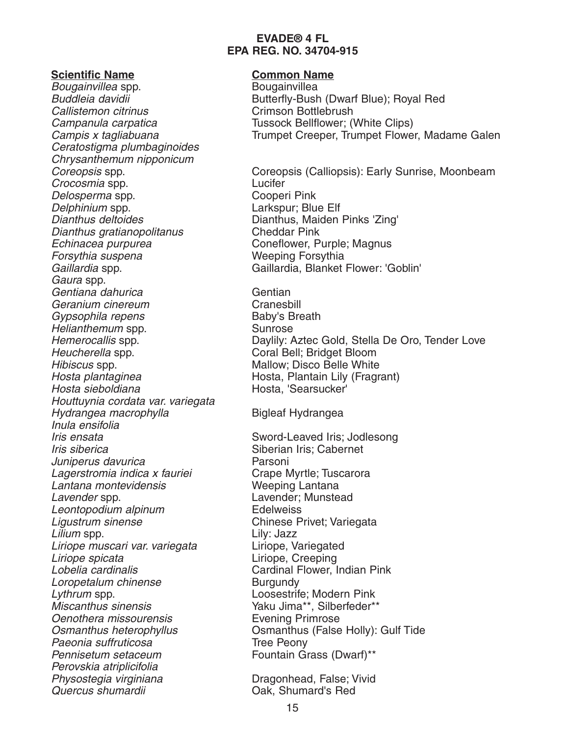**Scientific Name**<br> *Bougainvillea* spp. Bougainvillea Bougainvillea spp. Callistemon citrinus Crimson Bottlebrush Ceratostigma plumbaginoides Chrysanthemum nipponicum Crocosmia spp. Lucifer Delosperma spp. Delphinium spp. Community Communications (Delphinium spp. community Communications Communications Communicatio<br>
Dianthus deltoides
Communication Communication (Dianthus, Maiden Dianthus gratianopolitanus Cheddar Pink Echinacea purpurea Coneflower, Purple; Magnus<br>
Forsythia suspena<br>
Coneflower, Purple; Magnus Forsythia suspena Gaura spp. Gentiana dahurica Gentian Geranium cinereum Cranesbill Gypsophila repens Baby's Breath Helianthemum spp. Sunrose Hibiscus spp. Mallow; Disco Belle White Hosta plantaginea eta beraika hosta, Plantain Lily (Fragrant)<br>Hosta sieboldiana eta hosta, 'Searsucker' Houttuynia cordata var. variegata Hydrangea macrophylla Bigleaf Hydrangea Inula ensifolia Iris ensata Sword-Leaved Iris; Jodlesong Iris siberica<br>
Juniperus davurica<br>
Juniperus davurica<br>
Siberian Iris; Cabernet Juniperus davurica Lagerstromia indica x fauriei Crape Myrtle; Tuscarora<br>Lantana montevidensis Crape Weeping Lantana Lantana montevidensis Lavender spp. The Cavender; Munstead Leontopodium alpinum<br>
Ligustrum sinense<br>
Chinese P Lilium spp. Lily: Jazz Liriope muscari var. variegata Liriope, Variegated Liriope spicata Liriope, Creeping Lobelia cardinalis Cardinal Flower, Indian Pink Loropetalum chinense Burgundy Lythrum spp. Loosestrife; Modern Pink Miscanthus sinensis **Wiscanthus** Silberfeder\*\* **Oenothera missourensis** Evening Primrose<br> **Change Communishm** Communism Communism Calse Paeonia suffruticosa<br>
Pennisetum setaceum<br>
Pennisetum setaceum<br>
Tountain Gi Perovskia atriplicifolia Physostegia virginiana and Dragonhead, False; Vivid<br>Quercus shumardii and Dak, Shumard's Red

Buddleia davidii **Butterfly-Bush (Dwarf Blue)**; Royal Red Campanula carpatica Tussock Bellflower; (White Clips) Campis x tagliabuana Trumpet Creeper, Trumpet Flower, Madame Galen

Coreopsis spp. Coreopsis (Calliopsis): Early Sunrise, Moonbeam<br>Crocosmia spp. Coreopsis (Calliopsis): Early Sunrise, Moonbeam Dianthus, Maiden Pinks 'Zing' Gaillardia spp. Gaillardia, Blanket Flower: 'Goblin'

Hemerocallis spp. The Constanting Daylily: Aztec Gold, Stella De Oro, Tender Love<br>Heucherella spp. The Coral Bell: Bridget Bloom Coral Bell; Bridget Bloom Hosta, 'Searsucker'

Chinese Privet; Variegata Osmanthus (False Holly): Gulf Tide Fountain Grass (Dwarf)\*\*

**Oak, Shumard's Red**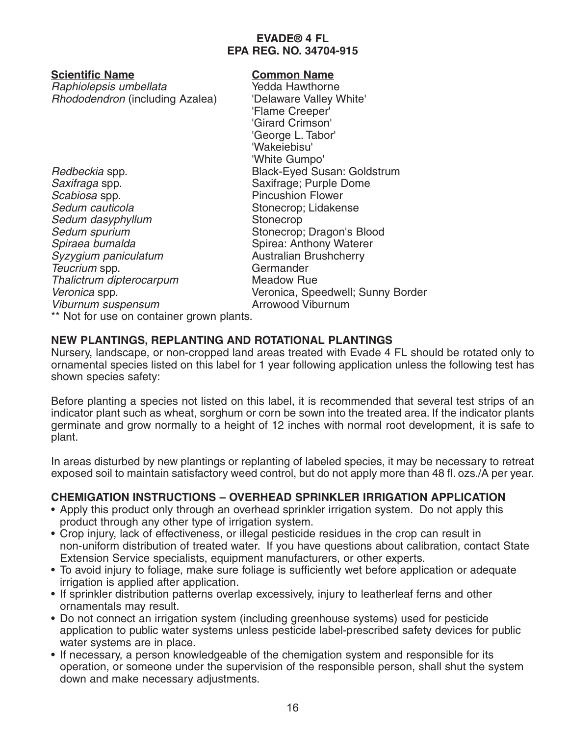**Scientific Name Common Name** Raphiolepsis umbellata Rhododendron (including Azalea) 'Delaware Valley White'

Scabiosa spp. **Example 3** Pincushion Flower Sedum cauticola Sedum cauticola Sedum dasyphyllum Stonecrop Sedum spurium Stonecrop; Dragon's Blood Spiraea bumalda<br>Spirea: Anthony Waterer<br>Syzygium paniculatum<br>Australian Brushcherry Syzygium paniculatum Teucrium spp. Germander Thalictrum dipterocarpum Meadow Rue Viburnum suspensum and a series are a Arrowood Viburnum

'Flame Creeper' 'Girard Crimson' 'George L. Tabor' 'Wakeiebisu' 'White Gumpo' Redbeckia spp. The Suite of Black-Eyed Susan: Goldstrum<br>Saxifraga spp. Saxifrage; Purple Dome Saxifrage; Purple Dome Veronica spp. Veronica, Speedwell; Sunny Border

\*\* Not for use on container grown plants.

## **NEW PLANTINGS, REPLANTING AND ROTATIONAL PLANTINGS**

Nursery, landscape, or non-cropped land areas treated with Evade 4 FL should be rotated only to ornamental species listed on this label for 1 year following application unless the following test has shown species safety:

Before planting a species not listed on this label, it is recommended that several test strips of an indicator plant such as wheat, sorghum or corn be sown into the treated area. If the indicator plants germinate and grow normally to a height of 12 inches with normal root development, it is safe to plant.

In areas disturbed by new plantings or replanting of labeled species, it may be necessary to retreat exposed soil to maintain satisfactory weed control, but do not apply more than 48 fl. ozs./A per year.

## **CHEMIGATION INSTRUCTIONS – OVERHEAD SPRINKLER IRRIGATION APPLICATION**

- Apply this product only through an overhead sprinkler irrigation system. Do not apply this product through any other type of irrigation system.
- Crop injury, lack of effectiveness, or illegal pesticide residues in the crop can result in non-uniform distribution of treated water. If you have questions about calibration, contact State Extension Service specialists, equipment manufacturers, or other experts.
- To avoid injury to foliage, make sure foliage is sufficiently wet before application or adequate irrigation is applied after application.
- If sprinkler distribution patterns overlap excessively, injury to leatherleaf ferns and other ornamentals may result.
- Do not connect an irrigation system (including greenhouse systems) used for pesticide application to public water systems unless pesticide label-prescribed safety devices for public water systems are in place.
- If necessary, a person knowledgeable of the chemigation system and responsible for its operation, or someone under the supervision of the responsible person, shall shut the system down and make necessary adjustments.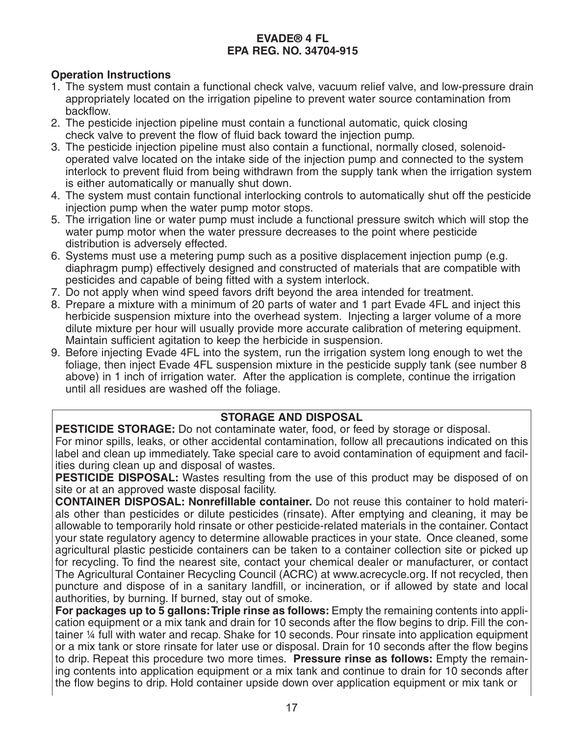## **Operation Instructions**

- 1. The system must contain a functional check valve, vacuum relief valve, and low-pressure drain appropriately located on the irrigation pipeline to prevent water source contamination from backflow.
- 2. The pesticide injection pipeline must contain a functional automatic, quick closing check valve to prevent the flow of fluid back toward the injection pump.
- 3. The pesticide injection pipeline must also contain a functional, normally closed, solenoidoperated valve located on the intake side of the injection pump and connected to the system interlock to prevent fluid from being withdrawn from the supply tank when the irrigation system is either automatically or manually shut down.
- 4. The system must contain functional interlocking controls to automatically shut off the pesticide injection pump when the water pump motor stops.
- 5. The irrigation line or water pump must include a functional pressure switch which will stop the water pump motor when the water pressure decreases to the point where pesticide distribution is adversely effected.
- 6. Systems must use a metering pump such as a positive displacement injection pump (e.g. diaphragm pump) effectively designed and constructed of materials that are compatible with pesticides and capable of being fitted with a system interlock.
- 7. Do not apply when wind speed favors drift beyond the area intended for treatment.
- 8. Prepare a mixture with a minimum of 20 parts of water and 1 part Evade 4FL and inject this herbicide suspension mixture into the overhead system. Injecting a larger volume of a more dilute mixture per hour will usually provide more accurate calibration of metering equipment. Maintain sufficient agitation to keep the herbicide in suspension.
- 9. Before injecting Evade 4FL into the system, run the irrigation system long enough to wet the foliage, then inject Evade 4FL suspension mixture in the pesticide supply tank (see number 8 above) in 1 inch of irrigation water. After the application is complete, continue the irrigation until all residues are washed off the foliage.

## **STORAGE AND DISPOSAL**

**PESTICIDE STORAGE:** Do not contaminate water, food, or feed by storage or disposal. For minor spills, leaks, or other accidental contamination, follow all precautions indicated on this label and clean up immediately. Take special care to avoid contamination of equipment and facilities during clean up and disposal of wastes.

**PESTICIDE DISPOSAL:** Wastes resulting from the use of this product may be disposed of on site or at an approved waste disposal facility.

**CONTAINER DISPOSAL: Nonrefillable container.** Do not reuse this container to hold materials other than pesticides or dilute pesticides (rinsate). After emptying and cleaning, it may be allowable to temporarily hold rinsate or other pesticide-related materials in the container. Contact your state regulatory agency to determine allowable practices in your state. Once cleaned, some agricultural plastic pesticide containers can be taken to a container collection site or picked up for recycling. To find the nearest site, contact your chemical dealer or manufacturer, or contact The Agricultural Container Recycling Council (ACRC) at www.acrecycle.org. If not recycled, then puncture and dispose of in a sanitary landfill, or incineration, or if allowed by state and local authorities, by burning. If burned, stay out of smoke.

**For packages up to 5 gallons: Triple rinse as follows:** Empty the remaining contents into application equipment or a mix tank and drain for 10 seconds after the flow begins to drip. Fill the container ¼ full with water and recap. Shake for 10 seconds. Pour rinsate into application equipment or a mix tank or store rinsate for later use or disposal. Drain for 10 seconds after the flow begins to drip. Repeat this procedure two more times. **Pressure rinse as follows:** Empty the remaining contents into application equipment or a mix tank and continue to drain for 10 seconds after the flow begins to drip. Hold container upside down over application equipment or mix tank or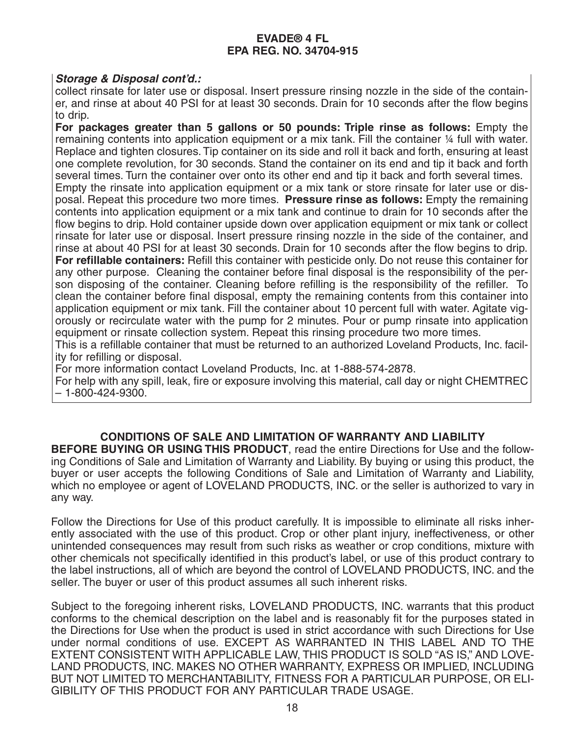#### **Storage & Disposal cont'd.:**

collect rinsate for later use or disposal. Insert pressure rinsing nozzle in the side of the container, and rinse at about 40 PSI for at least 30 seconds. Drain for 10 seconds after the flow begins to drip.

**For packages greater than 5 gallons or 50 pounds: Triple rinse as follows:** Empty the remaining contents into application equipment or a mix tank. Fill the container ¼ full with water. Replace and tighten closures. Tip container on its side and roll it back and forth, ensuring at least one complete revolution, for 30 seconds. Stand the container on its end and tip it back and forth several times. Turn the container over onto its other end and tip it back and forth several times. Empty the rinsate into application equipment or a mix tank or store rinsate for later use or disposal. Repeat this procedure two more times. **Pressure rinse as follows:** Empty the remaining contents into application equipment or a mix tank and continue to drain for 10 seconds after the flow begins to drip. Hold container upside down over application equipment or mix tank or collect rinsate for later use or disposal. Insert pressure rinsing nozzle in the side of the container, and rinse at about 40 PSI for at least 30 seconds. Drain for 10 seconds after the flow begins to drip. **For refillable containers:** Refill this container with pesticide only. Do not reuse this container for any other purpose. Cleaning the container before final disposal is the responsibility of the person disposing of the container. Cleaning before refilling is the responsibility of the refiller. To clean the container before final disposal, empty the remaining contents from this container into application equipment or mix tank. Fill the container about 10 percent full with water. Agitate vigorously or recirculate water with the pump for 2 minutes. Pour or pump rinsate into application equipment or rinsate collection system. Repeat this rinsing procedure two more times.

This is a refillable container that must be returned to an authorized Loveland Products, Inc. facility for refilling or disposal.

For more information contact Loveland Products, Inc. at 1-888-574-2878.

For help with any spill, leak, fire or exposure involving this material, call day or night CHEMTREC – 1-800-424-9300.

## **CONDITIONS OF SALE AND LIMITATION OF WARRANTY AND LIABILITY**

**BEFORE BUYING OR USING THIS PRODUCT**, read the entire Directions for Use and the following Conditions of Sale and Limitation of Warranty and Liability. By buying or using this product, the buyer or user accepts the following Conditions of Sale and Limitation of Warranty and Liability, which no employee or agent of LOVELAND PRODUCTS, INC. or the seller is authorized to vary in any way.

Follow the Directions for Use of this product carefully. It is impossible to eliminate all risks inherently associated with the use of this product. Crop or other plant injury, ineffectiveness, or other unintended consequences may result from such risks as weather or crop conditions, mixture with other chemicals not specifically identified in this product's label, or use of this product contrary to the label instructions, all of which are beyond the control of LOVELAND PRODUCTS, INC. and the seller. The buyer or user of this product assumes all such inherent risks.

Subject to the foregoing inherent risks, LOVELAND PRODUCTS, INC. warrants that this product conforms to the chemical description on the label and is reasonably fit for the purposes stated in the Directions for Use when the product is used in strict accordance with such Directions for Use under normal conditions of use. EXCEPT AS WARRANTED IN THIS LABEL AND TO THE EXTENT CONSISTENT WITH APPLICABLE LAW, THIS PRODUCT IS SOLD "AS IS," AND LOVE-LAND PRODUCTS, INC. MAKES NO OTHER WARRANTY, EXPRESS OR IMPLIED, INCLUDING BUT NOT LIMITED TO MERCHANTABILITY, FITNESS FOR A PARTICULAR PURPOSE, OR ELI-GIBILITY OF THIS PRODUCT FOR ANY PARTICULAR TRADE USAGE.